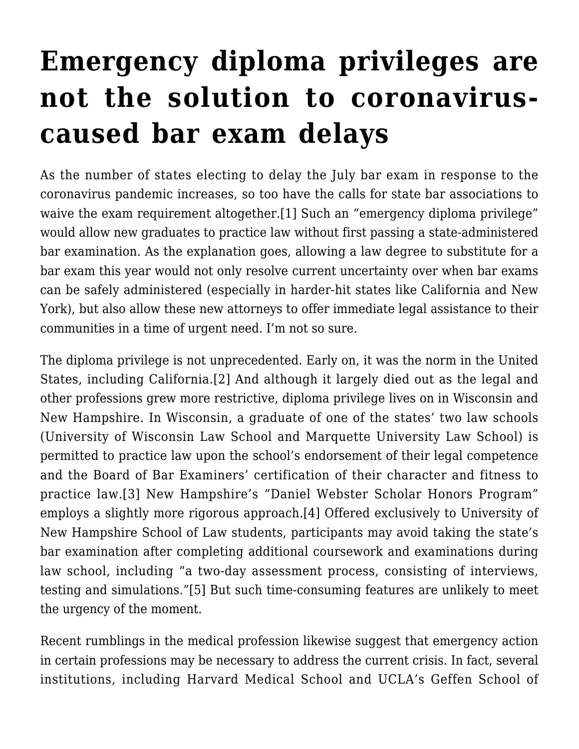## **[Emergency diploma privileges are](http://scocablog.com/emergency-diploma-privileges-are-not-the-solution-to-coronavirus-caused-bar-exam-delays/) [not the solution to coronavirus](http://scocablog.com/emergency-diploma-privileges-are-not-the-solution-to-coronavirus-caused-bar-exam-delays/)[caused bar exam delays](http://scocablog.com/emergency-diploma-privileges-are-not-the-solution-to-coronavirus-caused-bar-exam-delays/)**

As the number of states electing to delay the July bar exam in response to the coronavirus pandemic increases, so too have the calls for state bar associations to waive the exam requirement altogether.<sup>[\[1\]](#page--1-0)</sup> Such an "emergency diploma privilege" would allow new graduates to practice law without first passing a state-administered bar examination. As the explanation goes, allowing a law degree to substitute for a bar exam this year would not only resolve current uncertainty over when bar exams can be safely administered (especially in harder-hit states like California and New York), but also allow these new attorneys to offer immediate legal assistance to their communities in a time of urgent need. I'm not so sure.

The diploma privilege is not unprecedented. Early on, it was the norm in the United States, including California.[\[2\]](#page--1-0) And although it largely died out as the legal and other professions grew more restrictive, diploma privilege lives on in Wisconsin and New Hampshire. In Wisconsin, a graduate of one of the states' two law schools (University of Wisconsin Law School and Marquette University Law School) is permitted to practice law upon the school's endorsement of their legal competence and the Board of Bar Examiners' certification of their character and fitness to practice law.[\[3\]](#page--1-0) New Hampshire's "Daniel Webster Scholar Honors Program" employs a slightly more rigorous approach.[\[4\]](#page--1-0) Offered exclusively to University of New Hampshire School of Law students, participants may avoid taking the state's bar examination after completing additional coursework and examinations during law school, including "a two-day assessment process, consisting of interviews, testing and simulations.["\[5\]](#page--1-0) But such time-consuming features are unlikely to meet the urgency of the moment.

Recent rumblings in the medical profession likewise suggest that emergency action in certain professions may be necessary to address the current crisis. In fact, several institutions, including Harvard Medical School and UCLA's Geffen School of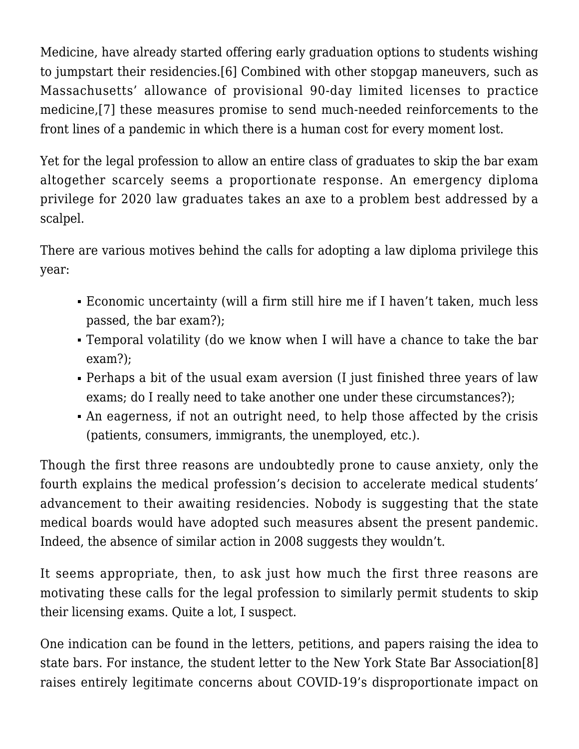Medicine, have already started offering early graduation options to students wishing to jumpstart their residencies[.\[6\]](#page--1-0) Combined with other stopgap maneuvers, such as Massachusetts' allowance of provisional 90-day limited licenses to practice medicine[,\[7\]](#page--1-0) these measures promise to send much-needed reinforcements to the front lines of a pandemic in which there is a human cost for every moment lost.

Yet for the legal profession to allow an entire class of graduates to skip the bar exam altogether scarcely seems a proportionate response. An emergency diploma privilege for 2020 law graduates takes an axe to a problem best addressed by a scalpel.

There are various motives behind the calls for adopting a law diploma privilege this year:

- Economic uncertainty (will a firm still hire me if I haven't taken, much less passed, the bar exam?);
- Temporal volatility (do we know when I will have a chance to take the bar exam?);
- Perhaps a bit of the usual exam aversion (I just finished three years of law exams; do I really need to take another one under these circumstances?);
- An eagerness, if not an outright need, to help those affected by the crisis (patients, consumers, immigrants, the unemployed, etc.).

Though the first three reasons are undoubtedly prone to cause anxiety, only the fourth explains the medical profession's decision to accelerate medical students' advancement to their awaiting residencies. Nobody is suggesting that the state medical boards would have adopted such measures absent the present pandemic. Indeed, the absence of similar action in 2008 suggests they wouldn't.

It seems appropriate, then, to ask just how much the first three reasons are motivating these calls for the legal profession to similarly permit students to skip their licensing exams. Quite a lot, I suspect.

One indication can be found in the letters, petitions, and papers raising the idea to state bars. For instance, the student letter to the New York State Bar Association[\[8\]](#page--1-0) raises entirely legitimate concerns about COVID-19's disproportionate impact on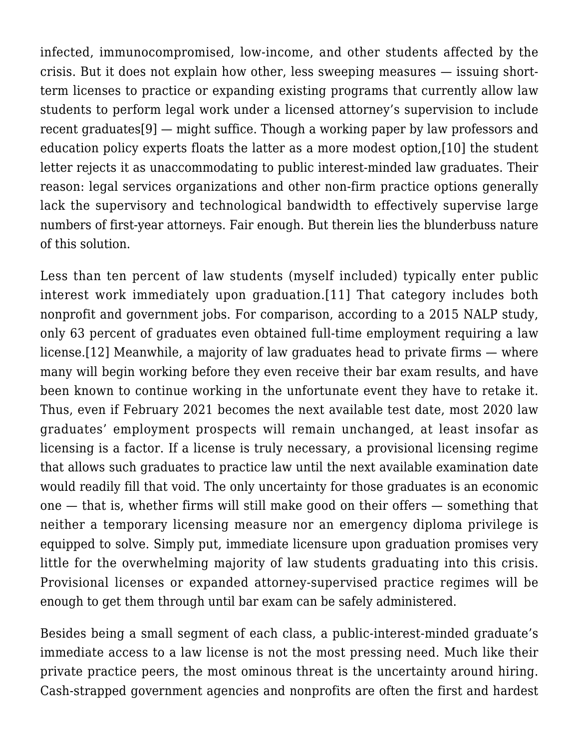infected, immunocompromised, low-income, and other students affected by the crisis. But it does not explain how other, less sweeping measures — issuing shortterm licenses to practice or expanding existing programs that currently allow law students to perform legal work under a licensed attorney's supervision to include recent graduates[\[9\]](#page--1-0) — might suffice. Though a working paper by law professors and education policy experts floats the latter as a more modest option[,\[10\]](#page--1-0) the student letter rejects it as unaccommodating to public interest-minded law graduates. Their reason: legal services organizations and other non-firm practice options generally lack the supervisory and technological bandwidth to effectively supervise large numbers of first-year attorneys. Fair enough. But therein lies the blunderbuss nature of this solution.

Less than ten percent of law students (myself included) typically enter public interest work immediately upon graduation.[\[11\]](#page--1-0) That category includes both nonprofit and government jobs. For comparison, according to a 2015 NALP study, only 63 percent of graduates even obtained full-time employment requiring a law license[.\[12\]](#page--1-0) Meanwhile, a majority of law graduates head to private firms — where many will begin working before they even receive their bar exam results, and have been known to continue working in the unfortunate event they have to retake it. Thus, even if February 2021 becomes the next available test date, most 2020 law graduates' employment prospects will remain unchanged, at least insofar as licensing is a factor. If a license is truly necessary, a provisional licensing regime that allows such graduates to practice law until the next available examination date would readily fill that void. The only uncertainty for those graduates is an economic one — that is, whether firms will still make good on their offers — something that neither a temporary licensing measure nor an emergency diploma privilege is equipped to solve. Simply put, immediate licensure upon graduation promises very little for the overwhelming majority of law students graduating into this crisis. Provisional licenses or expanded attorney-supervised practice regimes will be enough to get them through until bar exam can be safely administered.

Besides being a small segment of each class, a public-interest-minded graduate's immediate access to a law license is not the most pressing need. Much like their private practice peers, the most ominous threat is the uncertainty around hiring. Cash-strapped government agencies and nonprofits are often the first and hardest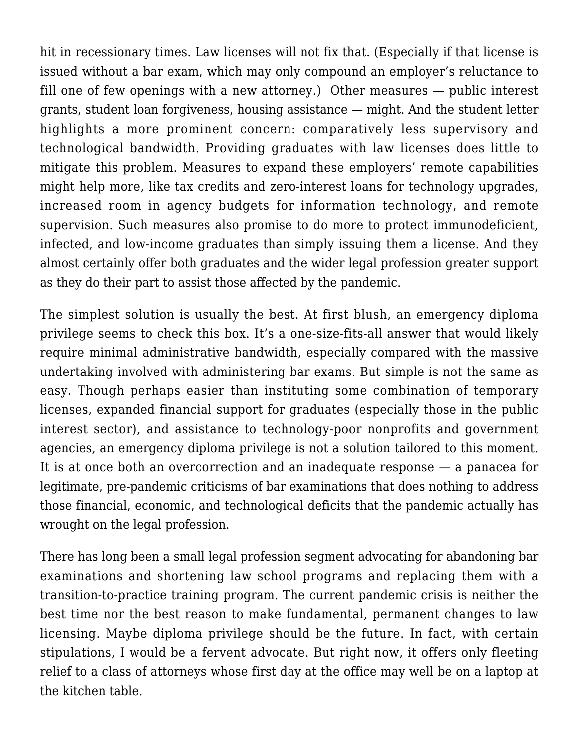hit in recessionary times. Law licenses will not fix that. (Especially if that license is issued without a bar exam, which may only compound an employer's reluctance to fill one of few openings with a new attorney.) Other measures — public interest grants, student loan forgiveness, housing assistance — might. And the student letter highlights a more prominent concern: comparatively less supervisory and technological bandwidth. Providing graduates with law licenses does little to mitigate this problem. Measures to expand these employers' remote capabilities might help more, like tax credits and zero-interest loans for technology upgrades, increased room in agency budgets for information technology, and remote supervision. Such measures also promise to do more to protect immunodeficient, infected, and low-income graduates than simply issuing them a license. And they almost certainly offer both graduates and the wider legal profession greater support as they do their part to assist those affected by the pandemic.

The simplest solution is usually the best. At first blush, an emergency diploma privilege seems to check this box. It's a one-size-fits-all answer that would likely require minimal administrative bandwidth, especially compared with the massive undertaking involved with administering bar exams. But simple is not the same as easy. Though perhaps easier than instituting some combination of temporary licenses, expanded financial support for graduates (especially those in the public interest sector), and assistance to technology-poor nonprofits and government agencies, an emergency diploma privilege is not a solution tailored to this moment. It is at once both an overcorrection and an inadequate response — a panacea for legitimate, pre-pandemic criticisms of bar examinations that does nothing to address those financial, economic, and technological deficits that the pandemic actually has wrought on the legal profession.

There has long been a small legal profession segment advocating for abandoning bar examinations and shortening law school programs and replacing them with a transition-to-practice training program. The current pandemic crisis is neither the best time nor the best reason to make fundamental, permanent changes to law licensing. Maybe diploma privilege should be the future. In fact, with certain stipulations, I would be a fervent advocate. But right now, it offers only fleeting relief to a class of attorneys whose first day at the office may well be on a laptop at the kitchen table.